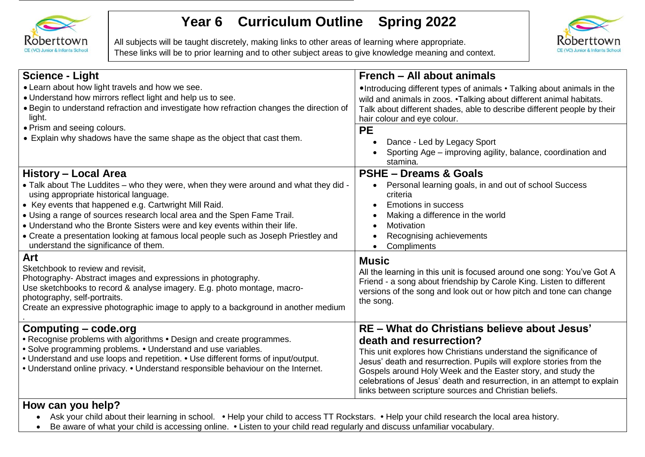

## **Year 6 Curriculum Outline Spring 2022**

All subjects will be taught discretely, making links to other areas of learning where appropriate. These links will be to prior learning and to other subject areas to give knowledge meaning and context.



| <b>Science - Light</b>                                                                                                                                                                                                                                                                                                                                                                                                                                                                                  | French - All about animals                                                                                                                                                                                                                                                                                                                                                                                              |  |
|---------------------------------------------------------------------------------------------------------------------------------------------------------------------------------------------------------------------------------------------------------------------------------------------------------------------------------------------------------------------------------------------------------------------------------------------------------------------------------------------------------|-------------------------------------------------------------------------------------------------------------------------------------------------------------------------------------------------------------------------------------------------------------------------------------------------------------------------------------------------------------------------------------------------------------------------|--|
| • Learn about how light travels and how we see.<br>. Understand how mirrors reflect light and help us to see.<br>• Begin to understand refraction and investigate how refraction changes the direction of<br>light.<br>• Prism and seeing colours.                                                                                                                                                                                                                                                      | . Introducing different types of animals • Talking about animals in the<br>wild and animals in zoos. . Talking about different animal habitats.<br>Talk about different shades, able to describe different people by their<br>hair colour and eye colour.<br><b>PE</b>                                                                                                                                                  |  |
| • Explain why shadows have the same shape as the object that cast them.                                                                                                                                                                                                                                                                                                                                                                                                                                 | Dance - Led by Legacy Sport<br>$\bullet$<br>Sporting Age – improving agility, balance, coordination and<br>stamina.                                                                                                                                                                                                                                                                                                     |  |
| History - Local Area<br>• Talk about The Luddites – who they were, when they were around and what they did -<br>using appropriate historical language.<br>• Key events that happened e.g. Cartwright Mill Raid.<br>• Using a range of sources research local area and the Spen Fame Trail.<br>. Understand who the Bronte Sisters were and key events within their life.<br>• Create a presentation looking at famous local people such as Joseph Priestley and<br>understand the significance of them. | <b>PSHE - Dreams &amp; Goals</b><br>Personal learning goals, in and out of school Success<br>criteria<br><b>Emotions in success</b><br>$\bullet$<br>Making a difference in the world<br>Motivation<br>Recognising achievements<br>$\bullet$<br>Compliments<br>$\bullet$                                                                                                                                                 |  |
| Art<br>Sketchbook to review and revisit,<br>Photography- Abstract images and expressions in photography.<br>Use sketchbooks to record & analyse imagery. E.g. photo montage, macro-<br>photography, self-portraits.<br>Create an expressive photographic image to apply to a background in another medium                                                                                                                                                                                               | <b>Music</b><br>All the learning in this unit is focused around one song: You've Got A<br>Friend - a song about friendship by Carole King. Listen to different<br>versions of the song and look out or how pitch and tone can change<br>the song.                                                                                                                                                                       |  |
| Computing - code.org<br>• Recognise problems with algorithms • Design and create programmes.<br>• Solve programming problems. • Understand and use variables.<br>• Understand and use loops and repetition. • Use different forms of input/output.<br>• Understand online privacy. • Understand responsible behaviour on the Internet.                                                                                                                                                                  | RE - What do Christians believe about Jesus'<br>death and resurrection?<br>This unit explores how Christians understand the significance of<br>Jesus' death and resurrection. Pupils will explore stories from the<br>Gospels around Holy Week and the Easter story, and study the<br>celebrations of Jesus' death and resurrection, in an attempt to explain<br>links between scripture sources and Christian beliefs. |  |

## **How can you help?**

Ask your child about their learning in school. **•** Help your child to access TT Rockstars. **•** Help your child research the local area history.

Be aware of what your child is accessing online. **•** Listen to your child read regularly and discuss unfamiliar vocabulary.